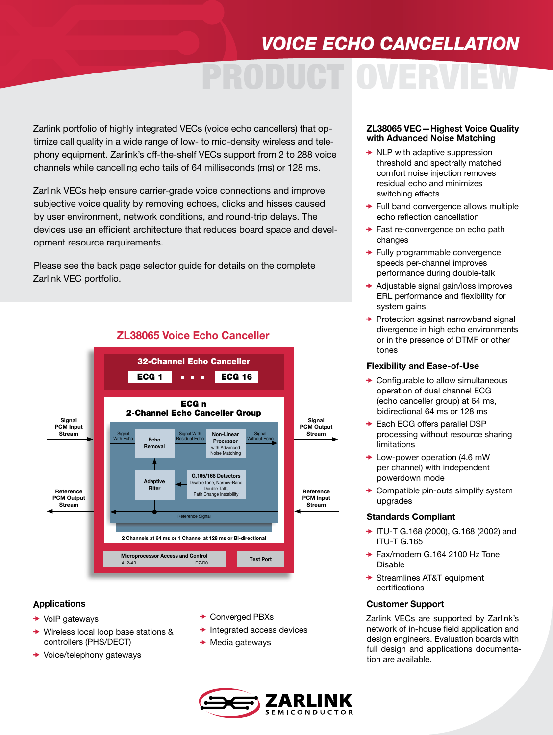## *VOICE ECHO CANCELLATION*

# PRODUCT OVERVIEW

Zarlink portfolio of highly integrated VECs (voice echo cancellers) that optimize call quality in a wide range of low- to mid-density wireless and telephony equipment. Zarlink's off-the-shelf VECs support from 2 to 288 voice channels while cancelling echo tails of 64 milliseconds (ms) or 128 ms.

Zarlink VECs help ensure carrier-grade voice connections and improve subjective voice quality by removing echoes, clicks and hisses caused by user environment, network conditions, and round-trip delays. The devices use an efficient architecture that reduces board space and development resource requirements.

Please see the back page selector guide for details on the complete Zarlink VEC portfolio.



### ZL38065 Voice Echo Canceller

#### Applications

- $\rightarrow$  VoIP gateways
- Wireless local loop base stations & controllers (PHS/DECT)
- **→ Voice/telephony gateways**
- **← Converged PBXs**
- $\rightarrow$  Integrated access devices
- $\rightarrow$  Media gateways



#### ZL38065 VEC—Highest Voice Quality with Advanced Noise Matching

- $\rightarrow$  NLP with adaptive suppression threshold and spectrally matched comfort noise injection removes residual echo and minimizes switching effects
- $\rightarrow$  Full band convergence allows multiple echo reflection cancellation
- **→ Fast re-convergence on echo path** changes
- **► Fully programmable convergence** speeds per-channel improves performance during double-talk
- ◆ Adjustable signal gain/loss improves ERL performance and flexibility for system gains
- $\rightarrow$  Protection against narrowband signal divergence in high echo environments or in the presence of DTMF or other tones

#### Flexibility and Ease-of-Use

- $\rightarrow$  Configurable to allow simultaneous operation of dual channel ECG (echo canceller group) at 64 ms, bidirectional 64 ms or 128 ms
- **► Each ECG offers parallel DSP** processing without resource sharing limitations
- **► Low-power operation (4.6 mW** per channel) with independent powerdown mode
- $\rightarrow$  Compatible pin-outs simplify system upgrades

#### Standards Compliant

- ◆ ITU-T G.168 (2000), G.168 (2002) and ITU-T G.165
- $\rightarrow$  Fax/modem G.164 2100 Hz Tone Disable
- **→ Streamlines AT&T equipment** certifications

#### Customer Support

Zarlink VECs are supported by Zarlink's network of in-house field application and design engineers. Evaluation boards with full design and applications documentation are available.